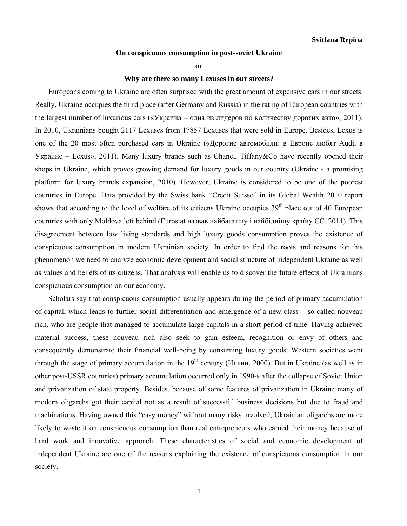## **On conspicuous consumption in post-soviet Ukraine**

**or** 

## **Why are there so many Lexuses in our streets?**

Europeans coming to Ukraine are often surprised with the great amount of expensive cars in our streets. Really, Ukraine occupies the third place (after Germany and Russia) in the rating of European countries with the largest number of luxurious cars («Украина – одна из лидеров по количеству дорогих авто», 2011). In 2010, Ukrainians bought 2117 Lexuses from 17857 Lexuses that were sold in Europe. Besides, Lexus is one of the 20 most often purchased cars in Ukraine («Дорогие автомобили: в Европе любят Audi, в Украине – Lexus», 2011). Many luxury brands such as Chanel, Tiffany&Co have recently opened their shops in Ukraine, which proves growing demand for luxury goods in our country (Ukraine - a promising platform for luxury brands expansion, 2010). However, Ukraine is considered to be one of the poorest countries in Europe. Data provided by the Swiss bank "Credit Suisse" in its Global Wealth 2010 report shows that according to the level of welfare of its citizens Ukraine occupies  $39<sup>th</sup>$  place out of 40 European countries with only Moldova left behind (Eurostat назвав найбагатшу і найбіднішу країну ЄС, 2011). This disagreement between low living standards and high luxury goods consumption proves the existence of conspicuous consumption in modern Ukrainian society. In order to find the roots and reasons for this phenomenon we need to analyze economic development and social structure of independent Ukraine as well as values and beliefs of its citizens. That analysis will enable us to discover the future effects of Ukrainians conspicuous consumption on our economy.

 Scholars say that conspicuous consumption usually appears during the period of primary accumulation of capital, which leads to further social differentiation and emergence of a new class – so-called nouveau rich, who are people that managed to accumulate large capitals in a short period of time. Having achieved material success, these nouveau rich also seek to gain esteem, recognition or envy of others and consequently demonstrate their financial well-being by consuming luxury goods. Western societies went through the stage of primary accumulation in the  $19^{th}$  century (Ильин, 2000). But in Ukraine (as well as in other post-USSR countries) primary accumulation occurred only in 1990-s after the collapse of Soviet Union and privatization of state property. Besides, because of some features of privatization in Ukraine many of modern oligarchs got their capital not as a result of successful business decisions but due to fraud and machinations. Having owned this "easy money" without many risks involved, Ukrainian oligarchs are more likely to waste it on conspicuous consumption than real entrepreneurs who earned their money because of hard work and innovative approach. These characteristics of social and economic development of independent Ukraine are one of the reasons explaining the existence of conspicuous consumption in our society.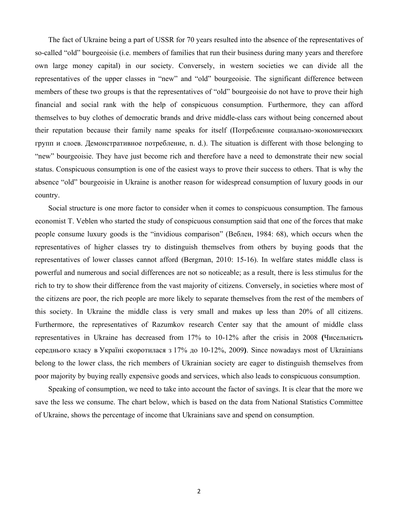The fact of Ukraine being a part of USSR for 70 years resulted into the absence of the representatives of so-called "old" bourgeoisie (i.e. members of families that run their business during many years and therefore own large money capital) in our society. Conversely, in western societies we can divide all the representatives of the upper classes in "new" and "old" bourgeoisie. The significant difference between members of these two groups is that the representatives of "old" bourgeoisie do not have to prove their high financial and social rank with the help of conspicuous consumption. Furthermore, they can afford themselves to buy clothes of democratic brands and drive middle-class cars without being concerned about their reputation because their family name speaks for itself (Потребление социально-экономических групп и слоев. Демонстративное потребление, n. d.). The situation is different with those belonging to "new" bourgeoisie. They have just become rich and therefore have a need to demonstrate their new social status. Conspicuous consumption is one of the easiest ways to prove their success to others. That is why the absence "old" bourgeoisie in Ukraine is another reason for widespread consumption of luxury goods in our country.

 Social structure is one more factor to consider when it comes to conspicuous consumption. The famous economist T. Veblen who started the study of conspicuous consumption said that one of the forces that make people consume luxury goods is the "invidious comparison" (Веблен, 1984: 68), which occurs when the representatives of higher classes try to distinguish themselves from others by buying goods that the representatives of lower classes cannot afford (Bergman, 2010: 15-16). In welfare states middle class is powerful and numerous and social differences are not so noticeable; as a result, there is less stimulus for the rich to try to show their difference from the vast majority of citizens. Conversely, in societies where most of the citizens are poor, the rich people are more likely to separate themselves from the rest of the members of this society. In Ukraine the middle class is very small and makes up less than 20% of all citizens. Furthermore, the representatives of Razumkov research Center say that the amount of middle class representatives in Ukraine has decreased from 17% to 10-12% after the crisis in 2008 **(**Чисельність середнього класу в Україні скоротилася з 17% до 10-12%, 2009**)**. Since nowadays most of Ukrainians belong to the lower class, the rich members of Ukrainian society are eager to distinguish themselves from poor majority by buying really expensive goods and services, which also leads to conspicuous consumption.

 Speaking of consumption, we need to take into account the factor of savings. It is clear that the more we save the less we consume. The chart below, which is based on the data from National Statistics Committee of Ukraine, shows the percentage of income that Ukrainians save and spend on consumption.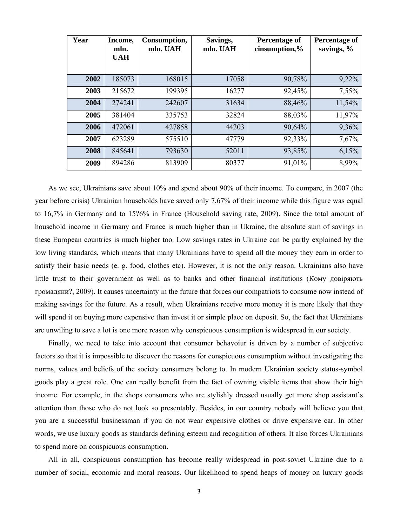| Year | Income,<br>mln.<br><b>UAH</b> | Consumption,<br>mln. UAH | Savings,<br>mln. UAH | Percentage of<br>cinsumption,% | <b>Percentage of</b><br>savings, % |
|------|-------------------------------|--------------------------|----------------------|--------------------------------|------------------------------------|
| 2002 | 185073                        | 168015                   | 17058                | 90,78%                         | 9,22%                              |
| 2003 | 215672                        | 199395                   | 16277                | 92,45%                         | 7,55%                              |
| 2004 | 274241                        | 242607                   | 31634                | 88,46%                         | 11,54%                             |
| 2005 | 381404                        | 335753                   | 32824                | 88,03%                         | 11,97%                             |
| 2006 | 472061                        | 427858                   | 44203                | 90,64%                         | 9,36%                              |
| 2007 | 623289                        | 575510                   | 47779                | 92,33%                         | 7,67%                              |
| 2008 | 845641                        | 793630                   | 52011                | 93,85%                         | 6,15%                              |
| 2009 | 894286                        | 813909                   | 80377                | 91,01%                         | 8,99%                              |

 As we see, Ukrainians save about 10% and spend about 90% of their income. To compare, in 2007 (the year before crisis) Ukrainian households have saved only 7,67% of their income while this figure was equal to 16,7% in Germany and to 15?6% in France (Household saving rate, 2009). Since the total amount of household income in Germany and France is much higher than in Ukraine, the absolute sum of savings in these European countries is much higher too. Low savings rates in Ukraine can be partly explained by the low living standards, which means that many Ukrainians have to spend all the money they earn in order to satisfy their basic needs (e. g. food, clothes etc). However, it is not the only reason. Ukrainians also have little trust to their government as well as to banks and other financial institutions (Кому довіряють громадяни?, 2009). It causes uncertainty in the future that forces our compatriots to consume now instead of making savings for the future. As a result, when Ukrainians receive more money it is more likely that they will spend it on buying more expensive than invest it or simple place on deposit. So, the fact that Ukrainians are unwiling to save a lot is one more reason why conspicuous consumption is widespread in our society.

 Finally, we need to take into account that consumer behavoiur is driven by a number of subjective factors so that it is impossible to discover the reasons for conspicuous consumption without investigating the norms, values and beliefs of the society consumers belong to. In modern Ukrainian society status-symbol goods play a great role. One can really benefit from the fact of owning visible items that show their high income. For example, in the shops consumers who are stylishly dressed usually get more shop assistant's attention than those who do not look so presentably. Besides, in our country nobody will believe you that you are a successful businessman if you do not wear expensive clothes or drive expensive car. In other words, we use luxury goods as standards defining esteem and recognition of others. It also forces Ukrainians to spend more on conspicuous consumption.

 All in all, conspicuous consumption has become really widespread in post-soviet Ukraine due to a number of social, economic and moral reasons. Our likelihood to spend heaps of money on luxury goods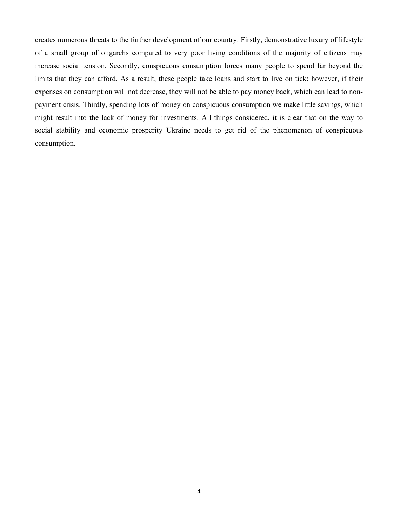creates numerous threats to the further development of our country. Firstly, demonstrative luxury of lifestyle of a small group of oligarchs compared to very poor living conditions of the majority of citizens may increase social tension. Secondly, conspicuous consumption forces many people to spend far beyond the limits that they can afford. As a result, these people take loans and start to live on tick; however, if their expenses on consumption will not decrease, they will not be able to pay money back, which can lead to nonpayment crisis. Thirdly, spending lots of money on conspicuous consumption we make little savings, which might result into the lack of money for investments. All things considered, it is clear that on the way to social stability and economic prosperity Ukraine needs to get rid of the phenomenon of conspicuous consumption.